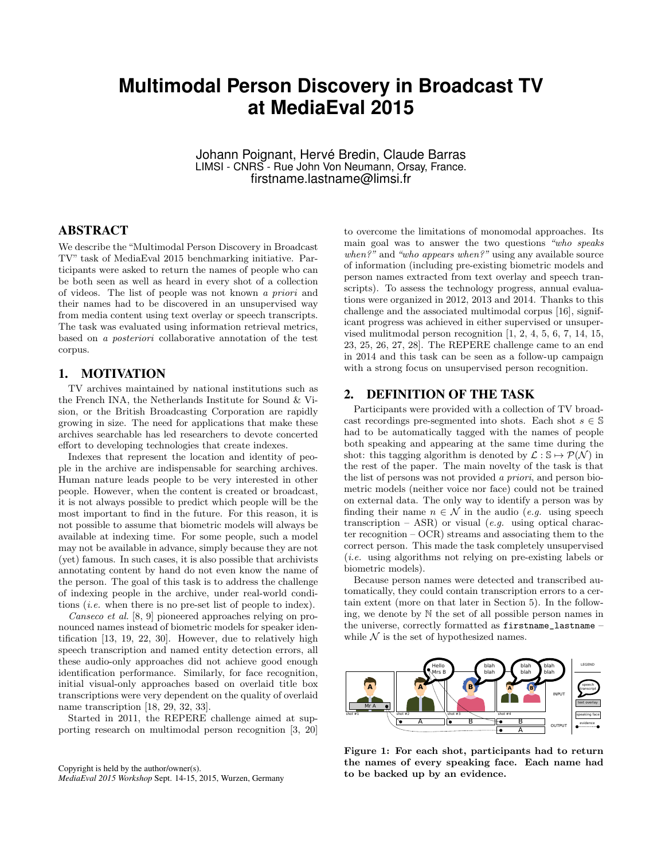# **Multimodal Person Discovery in Broadcast TV at MediaEval 2015**

Johann Poignant, Hervé Bredin, Claude Barras LIMSI - CNRS - Rue John Von Neumann, Orsay, France. firstname.lastname@limsi.fr

## ABSTRACT

We describe the "Multimodal Person Discovery in Broadcast TV" task of MediaEval 2015 benchmarking initiative. Participants were asked to return the names of people who can be both seen as well as heard in every shot of a collection of videos. The list of people was not known a priori and their names had to be discovered in an unsupervised way from media content using text overlay or speech transcripts. The task was evaluated using information retrieval metrics, based on a posteriori collaborative annotation of the test corpus.

## 1. MOTIVATION

TV archives maintained by national institutions such as the French INA, the Netherlands Institute for Sound & Vision, or the British Broadcasting Corporation are rapidly growing in size. The need for applications that make these archives searchable has led researchers to devote concerted effort to developing technologies that create indexes.

Indexes that represent the location and identity of people in the archive are indispensable for searching archives. Human nature leads people to be very interested in other people. However, when the content is created or broadcast, it is not always possible to predict which people will be the most important to find in the future. For this reason, it is not possible to assume that biometric models will always be available at indexing time. For some people, such a model may not be available in advance, simply because they are not (yet) famous. In such cases, it is also possible that archivists annotating content by hand do not even know the name of the person. The goal of this task is to address the challenge of indexing people in the archive, under real-world conditions (i.e. when there is no pre-set list of people to index).

Canseco et al. [8, 9] pioneered approaches relying on pronounced names instead of biometric models for speaker identification [13, 19, 22, 30]. However, due to relatively high speech transcription and named entity detection errors, all these audio-only approaches did not achieve good enough identification performance. Similarly, for face recognition, initial visual-only approaches based on overlaid title box transcriptions were very dependent on the quality of overlaid name transcription [18, 29, 32, 33].

Started in 2011, the REPERE challenge aimed at supporting research on multimodal person recognition [3, 20]

Copyright is held by the author/owner(s). *MediaEval 2015 Workshop* Sept. 14-15, 2015, Wurzen, Germany to overcome the limitations of monomodal approaches. Its main goal was to answer the two questions "who speaks when?" and "who appears when?" using any available source of information (including pre-existing biometric models and person names extracted from text overlay and speech transcripts). To assess the technology progress, annual evaluations were organized in 2012, 2013 and 2014. Thanks to this challenge and the associated multimodal corpus [16], significant progress was achieved in either supervised or unsupervised mulitmodal person recognition [1, 2, 4, 5, 6, 7, 14, 15, 23, 25, 26, 27, 28]. The REPERE challenge came to an end in 2014 and this task can be seen as a follow-up campaign with a strong focus on unsupervised person recognition.

### 2. DEFINITION OF THE TASK

Participants were provided with a collection of TV broadcast recordings pre-segmented into shots. Each shot  $s \in \mathbb{S}$ had to be automatically tagged with the names of people both speaking and appearing at the same time during the shot: this tagging algorithm is denoted by  $\mathcal{L}: \mathbb{S} \mapsto \mathcal{P}(\mathcal{N})$  in the rest of the paper. The main novelty of the task is that the list of persons was not provided a priori, and person biometric models (neither voice nor face) could not be trained on external data. The only way to identify a person was by finding their name  $n \in \mathcal{N}$  in the audio (e.g. using speech transcription – ASR) or visual (*e.g.* using optical character recognition – OCR) streams and associating them to the correct person. This made the task completely unsupervised (i.e. using algorithms not relying on pre-existing labels or biometric models).

Because person names were detected and transcribed automatically, they could contain transcription errors to a certain extent (more on that later in Section 5). In the following, we denote by N the set of all possible person names in the universe, correctly formatted as firstname\_lastname – while  $\mathcal N$  is the set of hypothesized names.



Figure 1: For each shot, participants had to return the names of every speaking face. Each name had to be backed up by an evidence.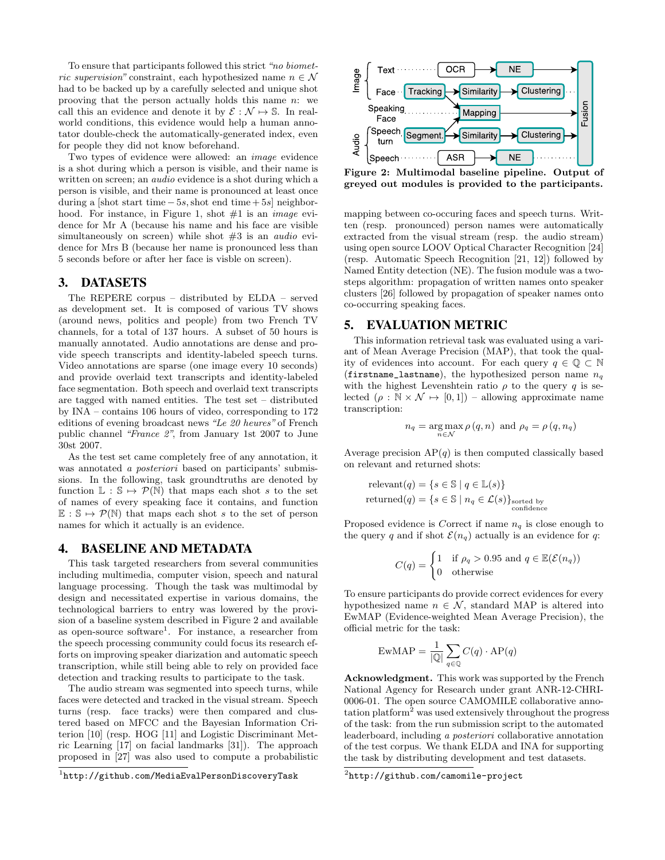To ensure that participants followed this strict "no biometric supervision" constraint, each hypothesized name  $n \in \mathcal{N}$ had to be backed up by a carefully selected and unique shot prooving that the person actually holds this name  $n$ : we call this an evidence and denote it by  $\mathcal{E} : \mathcal{N} \mapsto \mathbb{S}$ . In realworld conditions, this evidence would help a human annotator double-check the automatically-generated index, even for people they did not know beforehand.

Two types of evidence were allowed: an image evidence is a shot during which a person is visible, and their name is written on screen; an *audio* evidence is a shot during which a person is visible, and their name is pronounced at least once during a [shot start time  $-5s$ , shot end time  $+5s$ ] neighborhood. For instance, in Figure 1, shot  $#1$  is an *image* evidence for Mr A (because his name and his face are visible simultaneously on screen) while shot  $#3$  is an *audio* evidence for Mrs B (because her name is pronounced less than 5 seconds before or after her face is visble on screen).

## 3. DATASETS

The REPERE corpus – distributed by ELDA – served as development set. It is composed of various TV shows (around news, politics and people) from two French TV channels, for a total of 137 hours. A subset of 50 hours is manually annotated. Audio annotations are dense and provide speech transcripts and identity-labeled speech turns. Video annotations are sparse (one image every 10 seconds) and provide overlaid text transcripts and identity-labeled face segmentation. Both speech and overlaid text transcripts are tagged with named entities. The test set – distributed by INA – contains 106 hours of video, corresponding to 172 editions of evening broadcast news "Le 20 heures" of French public channel "France 2", from January 1st 2007 to June 30st 2007.

As the test set came completely free of any annotation, it was annotated a posteriori based on participants' submissions. In the following, task groundtruths are denoted by function  $\mathbb{L}: \mathbb{S} \mapsto \mathcal{P}(\mathbb{N})$  that maps each shot s to the set of names of every speaking face it contains, and function  $\mathbb{E}: \mathbb{S} \mapsto \mathcal{P}(\mathbb{N})$  that maps each shot s to the set of person names for which it actually is an evidence.

#### 4. BASELINE AND METADATA

This task targeted researchers from several communities including multimedia, computer vision, speech and natural language processing. Though the task was multimodal by design and necessitated expertise in various domains, the technological barriers to entry was lowered by the provision of a baseline system described in Figure 2 and available as open-source software<sup>1</sup>. For instance, a researcher from the speech processing community could focus its research efforts on improving speaker diarization and automatic speech transcription, while still being able to rely on provided face detection and tracking results to participate to the task.

The audio stream was segmented into speech turns, while faces were detected and tracked in the visual stream. Speech turns (resp. face tracks) were then compared and clustered based on MFCC and the Bayesian Information Criterion [10] (resp. HOG [11] and Logistic Discriminant Metric Learning [17] on facial landmarks [31]). The approach proposed in [27] was also used to compute a probabilistic



Figure 2: Multimodal baseline pipeline. Output of greyed out modules is provided to the participants.

mapping between co-occuring faces and speech turns. Written (resp. pronounced) person names were automatically extracted from the visual stream (resp. the audio stream) using open source LOOV Optical Character Recognition [24] (resp. Automatic Speech Recognition [21, 12]) followed by Named Entity detection (NE). The fusion module was a twosteps algorithm: propagation of written names onto speaker clusters [26] followed by propagation of speaker names onto co-occurring speaking faces.

#### 5. EVALUATION METRIC

This information retrieval task was evaluated using a variant of Mean Average Precision (MAP), that took the quality of evidences into account. For each query  $q \in \mathbb{Q} \subset \mathbb{N}$ (firstname\_lastname), the hypothesized person name  $n_q$ with the highest Levenshtein ratio  $\rho$  to the query q is selected  $(\rho : \mathbb{N} \times \mathcal{N} \mapsto [0, 1])$  – allowing approximate name transcription:

$$
n_q = \underset{n \in \mathcal{N}}{\arg \max} \, \rho(q, n) \, \text{ and } \, \rho_q = \rho(q, n_q)
$$

Average precision  $AP(q)$  is then computed classically based on relevant and returned shots:

$$
\begin{aligned}\n\text{relevant}(q) &= \{ s \in \mathbb{S} \mid q \in \mathbb{L}(s) \} \\
\text{returned}(q) &= \{ s \in \mathbb{S} \mid n_q \in \mathcal{L}(s) \}^{\text{sorted by}}_{\text{confidence}}\n\end{aligned}
$$

Proposed evidence is Correct if name  $n_q$  is close enough to the query q and if shot  $\mathcal{E}(n_q)$  actually is an evidence for q:

$$
C(q) = \begin{cases} 1 & \text{if } \rho_q > 0.95 \text{ and } q \in \mathbb{E}(\mathcal{E}(n_q)) \\ 0 & \text{otherwise} \end{cases}
$$

To ensure participants do provide correct evidences for every hypothesized name  $n \in \mathcal{N}$ , standard MAP is altered into EwMAP (Evidence-weighted Mean Average Precision), the official metric for the task:

$$
EwMAP = \frac{1}{|\mathbb{Q}|} \sum_{q \in \mathbb{Q}} C(q) \cdot AP(q)
$$

Acknowledgment. This work was supported by the French National Agency for Research under grant ANR-12-CHRI-0006-01. The open source CAMOMILE collaborative annotation platform<sup>2</sup> was used extensively throughout the progress of the task: from the run submission script to the automated leaderboard, including a posteriori collaborative annotation of the test corpus. We thank ELDA and INA for supporting the task by distributing development and test datasets.

 $1$ http://github.com/MediaEvalPersonDiscoveryTask

 $^{2}$ http://github.com/camomile-project